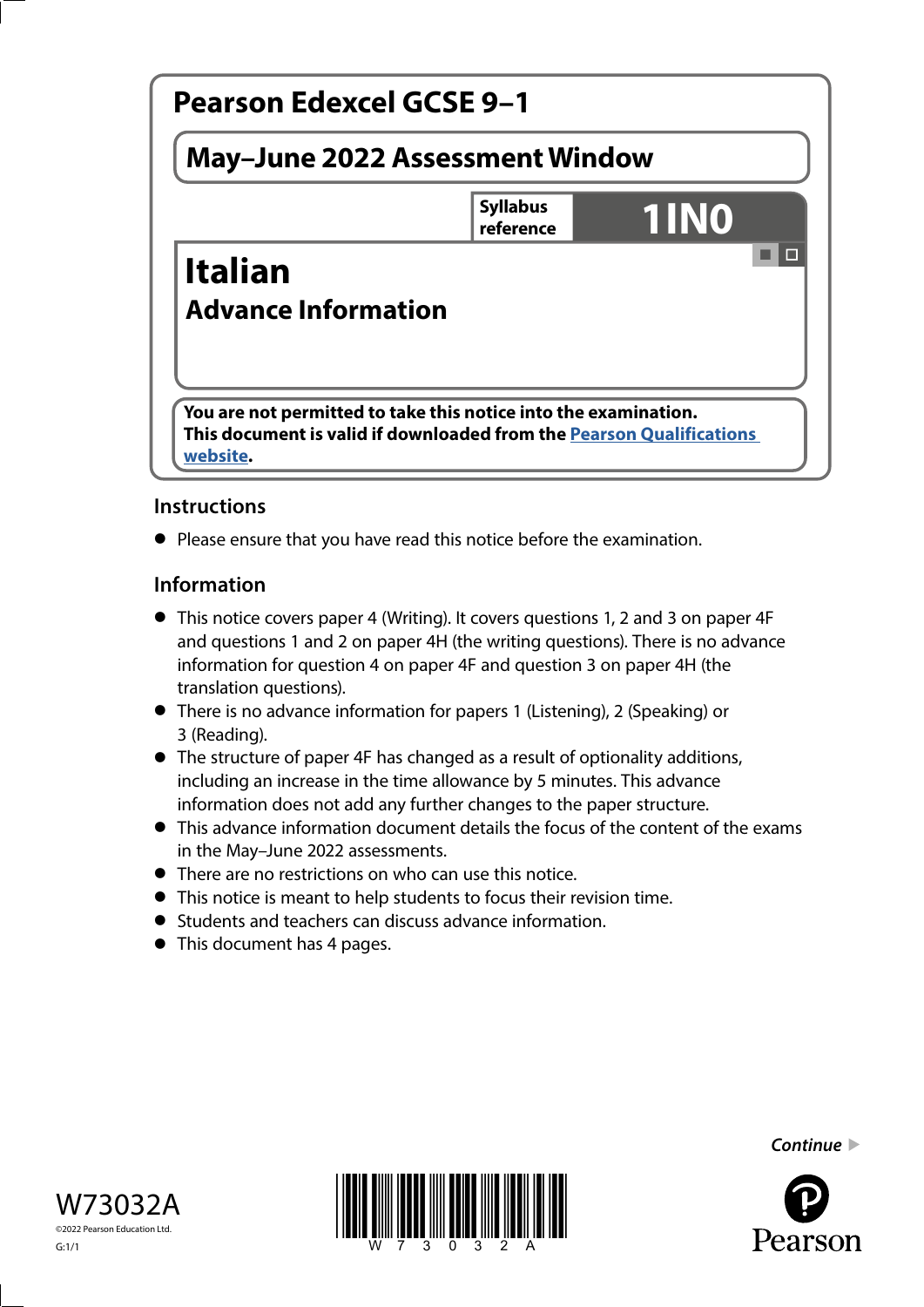

# **Instructions**

**•** Please ensure that you have read this notice before the examination.

## **Information**

- This notice covers paper 4 (Writing). It covers questions 1, 2 and 3 on paper 4F and questions 1 and 2 on paper 4H (the writing questions). There is no advance information for question 4 on paper 4F and question 3 on paper 4H (the translation questions).
- There is no advance information for papers 1 (Listening), 2 (Speaking) or 3 (Reading).
- The structure of paper 4F has changed as a result of optionality additions, including an increase in the time allowance by 5 minutes. This advance information does not add any further changes to the paper structure.
- This advance information document details the focus of the content of the exams in the May–June 2022 assessments.
- There are no restrictions on who can use this notice.
- This notice is meant to help students to focus their revision time.
- Students and teachers can discuss advance information.
- Students and teachers can develop to This document has 4 pages.





*Continue* 

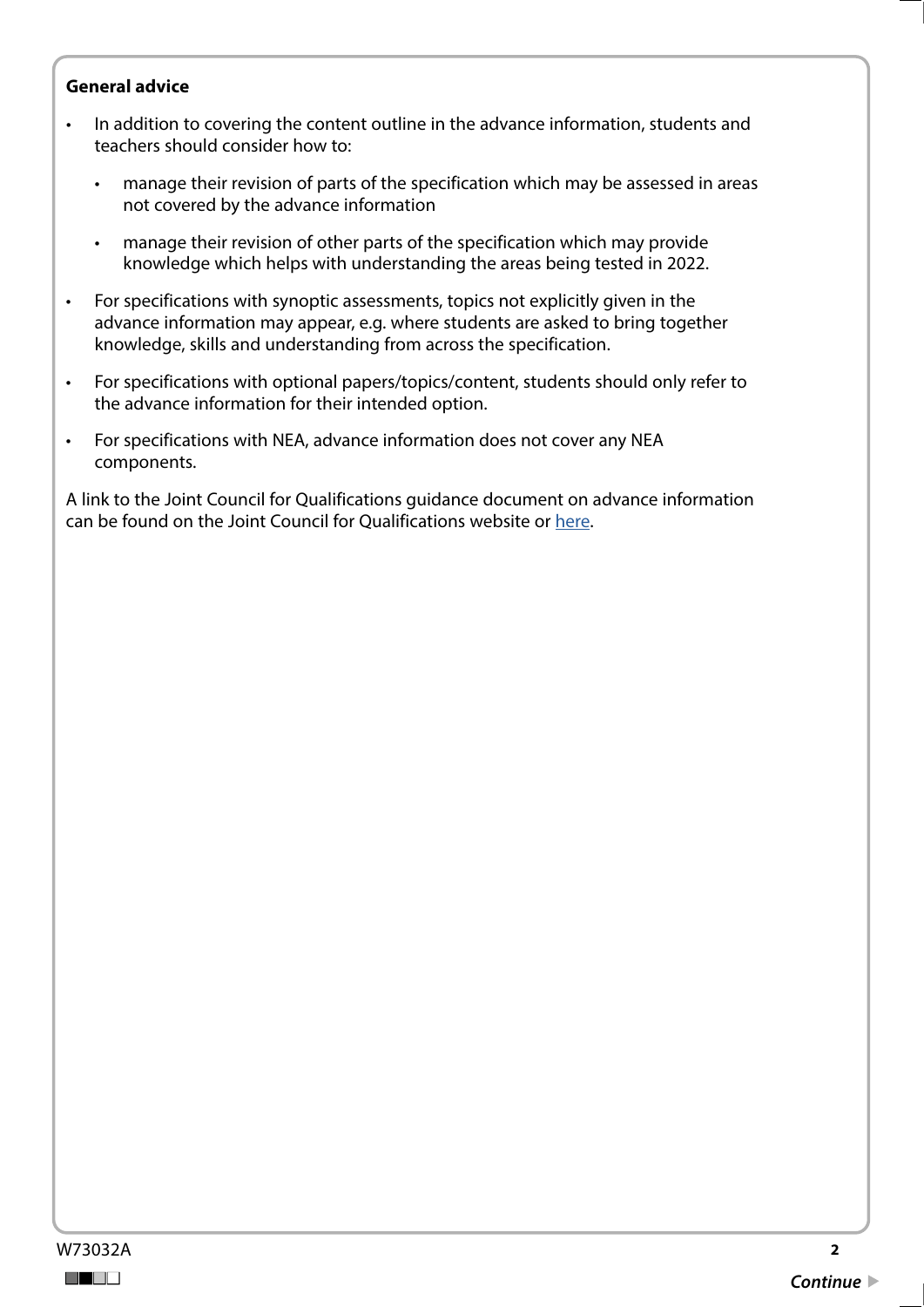#### **General advice**

- In addition to covering the content outline in the advance information, students and teachers should consider how to:
	- manage their revision of parts of the specification which may be assessed in areas not covered by the advance information
	- manage their revision of other parts of the specification which may provide knowledge which helps with understanding the areas being tested in 2022.
- For specifications with synoptic assessments, topics not explicitly given in the advance information may appear, e.g. where students are asked to bring together knowledge, skills and understanding from across the specification.
- For specifications with optional papers/topics/content, students should only refer to the advance information for their intended option.
- For specifications with NEA, advance information does not cover any NEA components.

A link to the Joint Council for Qualifications guidance document on advance information can be found on the Joint Council for Qualifications website or [here](https://www.jcq.org.uk/wp-content/uploads/2021/10/Advance-Information-for-General-Qualifications-2021-22.pdf).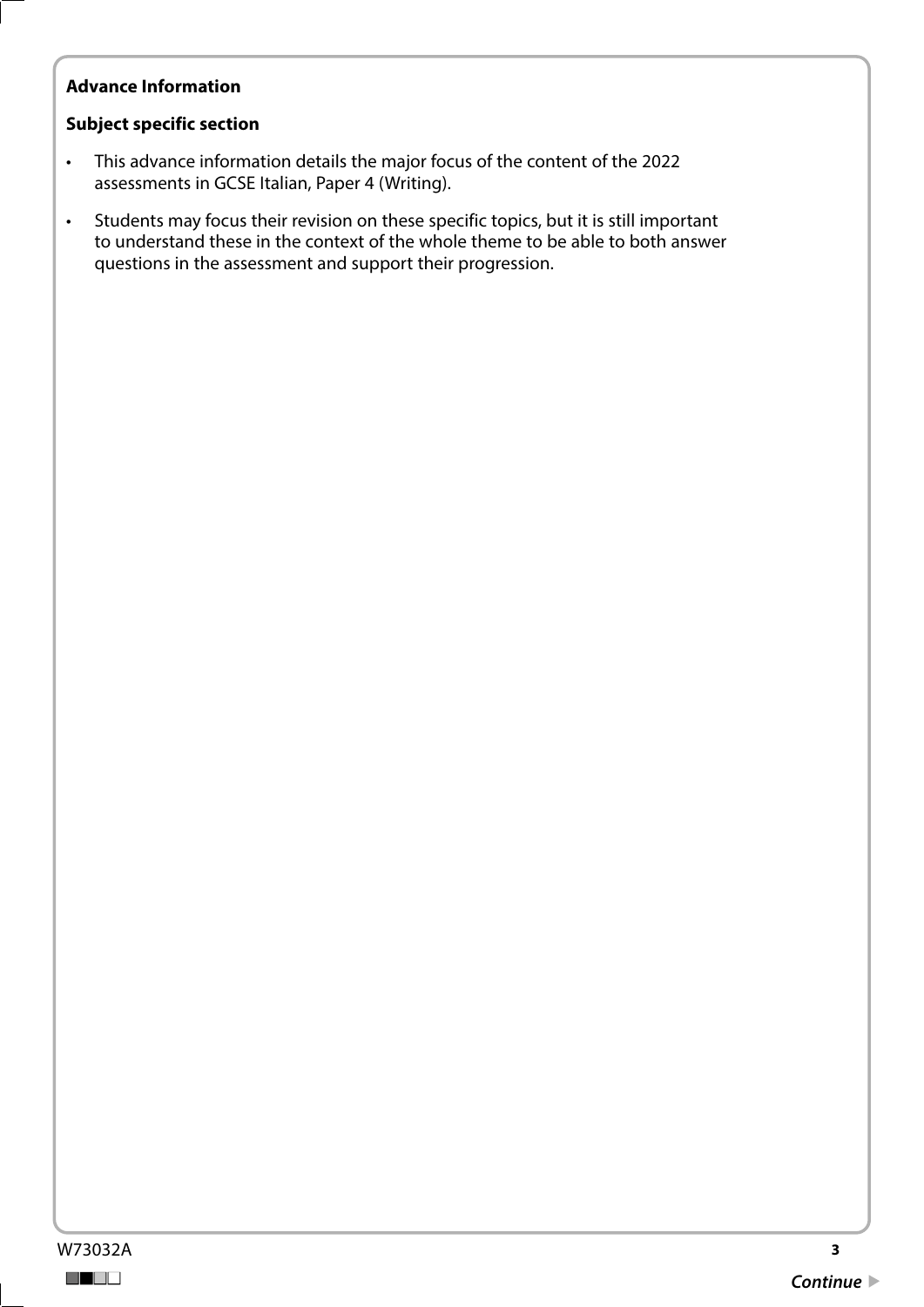## **Advance Information**

#### **Subject specific section**

- This advance information details the major focus of the content of the 2022 assessments in GCSE Italian, Paper 4 (Writing).
- Students may focus their revision on these specific topics, but it is still important to understand these in the context of the whole theme to be able to both answer questions in the assessment and support their progression.